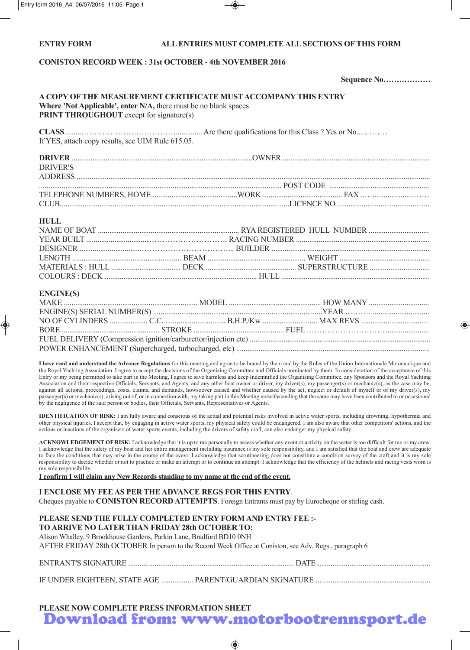### **ENTRY FORM ALL ENTRIES MUST COMPLETE ALL SECTIONS OF THIS FORM**

## **CONISTON RECORD WEEK : 31st OCTOBER - 4th NOVEMBER 2016**

**Sequence No………………**

|           |  |  | A COPY OF THE MEASUREMENT CERTIFICATE MUST ACCOMPANY THIS ENTRY                                                                                                                                                                                                                                                                                                                                                                                              |  |  |  |
|-----------|--|--|--------------------------------------------------------------------------------------------------------------------------------------------------------------------------------------------------------------------------------------------------------------------------------------------------------------------------------------------------------------------------------------------------------------------------------------------------------------|--|--|--|
| $- - - -$ |  |  | $\mathbf{a} \cdot \mathbf{b} = \mathbf{a} \cdot \mathbf{a} + \mathbf{b} \cdot \mathbf{a} + \mathbf{b} \cdot \mathbf{a} + \mathbf{b} \cdot \mathbf{a} + \mathbf{b} \cdot \mathbf{a} + \mathbf{b} \cdot \mathbf{a} + \mathbf{b} \cdot \mathbf{a} + \mathbf{b} \cdot \mathbf{a} + \mathbf{b} \cdot \mathbf{a} + \mathbf{b} \cdot \mathbf{a} + \mathbf{b} \cdot \mathbf{a} + \mathbf{b} \cdot \mathbf{a} + \mathbf{b} \cdot \mathbf{a} + \mathbf{b} \cdot \math$ |  |  |  |

**Where 'Not Applicable', enter N/A,** there must be no blank spaces **PRINT THROUGHOUT** except for signature(s)

**CLASS**.........……………………………….............. Are there qualifications for this Class ? Yes or No....……… If YES, attach copy results, see UIM Rule 615.05.

| DRIVER         |  |  |
|----------------|--|--|
| DRIVER'S       |  |  |
| <b>ADDRESS</b> |  |  |
|                |  |  |
|                |  |  |
| <b>CLUB</b>    |  |  |

### **HULL**

## **ENGINE(S)**

**I have read and understood the Advance Regulations** for this meeting and agree to be bound by them and by the Rules of the Union Internationale Motonautique and the Royal Yachting Association. I agree to accept the decisions of the Organising Committee and Officials nominated by them. In consideration of the acceptance of this Entry or my being permitted to take part in the Meeting, I agree to save harmless and keep Indemnified the Organising Committee, any Sponsors and the Royal Yachting Association and their respective Officials, Servants, and Agents, and any other boat owner or driver, my driver(s), my passenger(s) or mechanic(s), as the case may be, against all actions, proceedings, costs, claims, and demands, howsoever caused and whether caused by the act, neglect or default of myself or of my driver(s), my passenger(s) or mechanic(s), arising out of, or in connection with, my taking part in this Meeting notwithstanding that the same may have been contributed to or occasioned by the negligence of the said person or bodies, their Officials, Servants, Representatives or Agents.

**IDENTIFICATION OF RISK:** I am fully aware and conscious of the actual and potential risks involved in active water sports, including drowning, hypothermia and other physical injuries. I accept that, by engaging in active water sports, my physical safety could be endangered. I am also aware that other competitors' actions, and the actions or inactions of the organisers of water sports events, including the drivers of safety craft, can also endanger my physical safety.

**ACKNOWLEDGEMENT OF RISK:** I acknowledge that it is up to me personally to assess whether any event or activity on the water is too difficult for me or my crew. I acknowledge that the safety of my boat and her entire management including insurance is my sole responsibility, and I am satisfied that the boat and crew are adequate to face the conditions that may arise in the course of the evevt. I acknowledge that scrutineering does not constitute a condition survey of the craft and it is my sole responsibility to decide whether or not to practice or make an attempt or to continue an attempt. I acknowledge that the efficiency of the helmets and racing vests worn is my sole responsibility.

**I confirm I will claim any New Records standing to my name at the end of the event.**

# **I ENCLOSE MY FEE AS PER THE ADVANCE REGS FOR THIS ENTRY**.

Cheques payable to **CONISTON RECORD ATTEMPTS**. Foreign Entrants must pay by Eurocheque or stirling cash.

| PLEASE SEND THE FULLY COMPLETED ENTRY FORM AND ENTRY FEE :- |  |
|-------------------------------------------------------------|--|
| TO ARRIVE NO LATER THAN FRIDAY 28th OCTOBER TO:             |  |

Alison Whalley, 9 Brookhouse Gardens, Parkin Lane, Bradford BD10 0NH

AFTER FRIDAY 28th OCTOBER In person to the Record Week Office at Coniston, see Adv. Regs., paragraph 6

IF UNDER EIGHTEEN, STATE AGE ................. PARENT/GUARDIAN SIGNATURE .............................................................

**PLEASE NOW COMPLETE PRESS INFORMATION SHEET**

Download from: www.motorbootrennsport.de